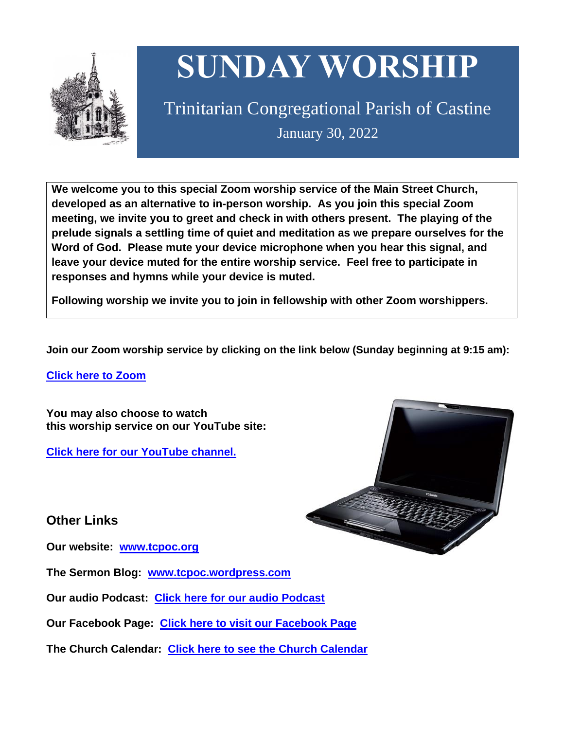

# **SUNDAY WORSHIP**

Trinitarian Congregational Parish of Castine January 30, 2022

**We welcome you to this special Zoom worship service of the Main Street Church, developed as an alternative to in-person worship. As you join this special Zoom meeting, we invite you to greet and check in with others present. The playing of the prelude signals a settling time of quiet and meditation as we prepare ourselves for the Word of God. Please mute your device microphone when you hear this signal, and leave your device muted for the entire worship service. Feel free to participate in responses and hymns while your device is muted.**

**Following worship we invite you to join in fellowship with other Zoom worshippers.**

**Join our Zoom worship service by clicking on the link below (Sunday beginning at 9:15 am):**

**Click here to [Zoom](https://us02web.zoom.us/j/89573448511?pwd=MFRuSFBJR2NWL015RzlyZ1UycmROQT09)**

**You may also choose to watch this worship service on our YouTube site:**

**Click here for our [YouTube](https://www.youtube.com/channel/UC4Bu-O6pN-bdPOqVNg0fBxA) channel.**



**Other Links**

**Our website: [www.tcpoc.org](http://www.tcpoc.org/)**

**The Sermon Blog: [www.tcpoc.wordpress.com](http://www.tcpoc.wordpress.com/)**

**Our audio Podcast: Click here for our audio [Podcast](https://podpoint.com/trinitarian-congregational-parish-of-castine-podcast)**

**Our Facebook Page: Click here to visit our [Facebook](https://www.facebook.com/tcpoc) Page**

**The Church Calendar: Click here to see the Church [Calendar](http://www.tcpoc.org/calendar.html)**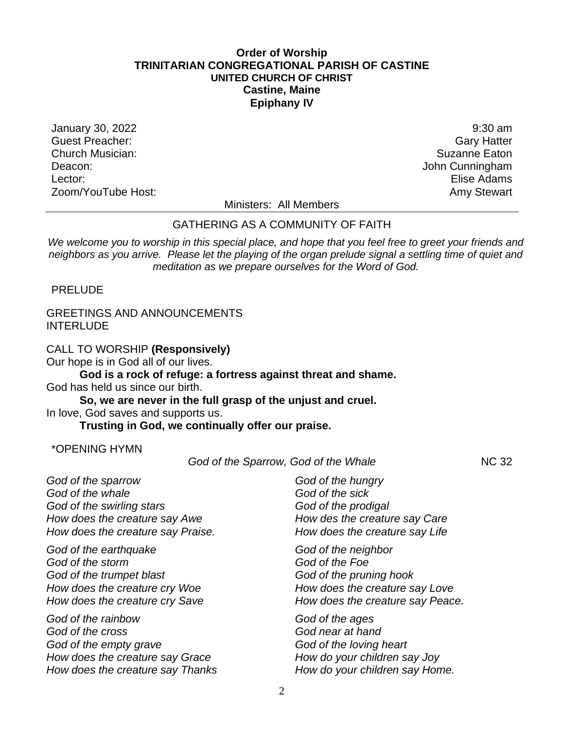#### **Order of Worship TRINITARIAN CONGREGATIONAL PARISH OF CASTINE UNITED CHURCH OF CHRIST Castine, Maine Epiphany IV**

January 30, 2022 9:30 am Guest Preacher: Gary Hatter Church Musician: Suzanne Eaton Deacon: John Cunningham Lector: Elise Adams Zoom/YouTube Host: Amy Stewart Communication and Amy Stewart

Ministers: All Members

#### GATHERING AS A COMMUNITY OF FAITH

We welcome you to worship in this special place, and hope that you feel free to greet your friends and *neighbors as you arrive. Please let the playing of the organ prelude signal a settling time of quiet and meditation as we prepare ourselves for the Word of God.*

PRELUDE

#### GREETINGS AND ANNOUNCEMENTS INTERLUDE

CALL TO WORSHIP **(Responsively)**

Our hope is in God all of our lives.

**God is a rock of refuge: a fortress against threat and shame.** God has held us since our birth.

**So, we are never in the full grasp of the unjust and cruel.** In love, God saves and supports us.

**Trusting in God, we continually offer our praise.**

\*OPENING HYMN

God of the Sparrow, God of the Whale NC 32

| God of the sparrow                | God of the hungry                |
|-----------------------------------|----------------------------------|
| God of the whale                  | God of the sick                  |
| God of the swirling stars         | God of the prodigal              |
| How does the creature say Awe     | How des the creature say Care    |
| How does the creature say Praise. | How does the creature say Life   |
| God of the earthquake             | God of the neighbor              |
| God of the storm                  | God of the Foe                   |
| God of the trumpet blast          | God of the pruning hook          |
| How does the creature cry Woe     | How does the creature say Love   |
| How does the creature cry Save    | How does the creature say Peace. |
| God of the rainbow                | God of the ages                  |
| God of the cross                  | God near at hand                 |
| God of the empty grave            | God of the loving heart          |
| How does the creature say Grace   | How do your children say Joy     |
| How does the creature say Thanks  | How do your children say Home.   |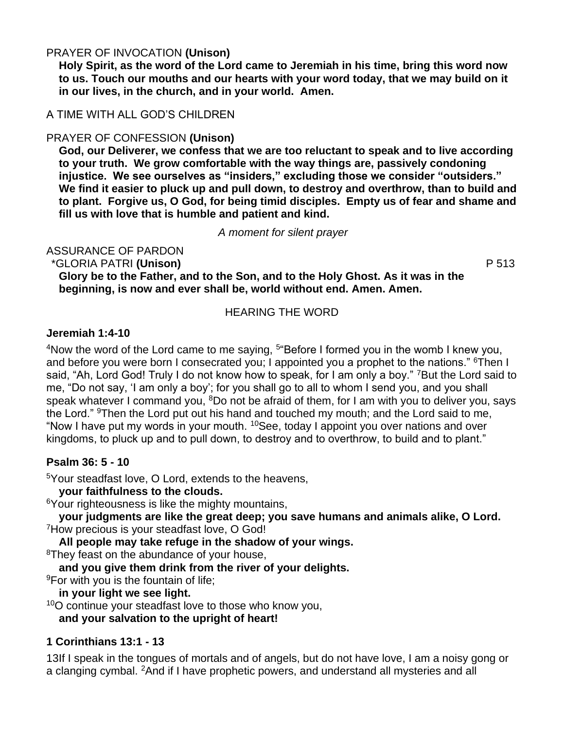# PRAYER OF INVOCATION **(Unison)**

**Holy Spirit, as the word of the Lord came to Jeremiah in his time, bring this word now to us. Touch our mouths and our hearts with your word today, that we may build on it in our lives, in the church, and in your world. Amen.**

#### A TIME WITH ALL GOD'S CHILDREN

## PRAYER OF CONFESSION **(Unison)**

**God, our Deliverer, we confess that we are too reluctant to speak and to live according to your truth. We grow comfortable with the way things are, passively condoning injustice. We see ourselves as "insiders," excluding those we consider "outsiders." We find it easier to pluck up and pull down, to destroy and overthrow, than to build and to plant. Forgive us, O God, for being timid disciples. Empty us of fear and shame and fill us with love that is humble and patient and kind.** 

*A moment for silent prayer*

ASSURANCE OF PARDON

\*GLORIA PATRI **(Unison)** P 513

**Glory be to the Father, and to the Son, and to the Holy Ghost. As it was in the beginning, is now and ever shall be, world without end. Amen. Amen.**

#### HEARING THE WORD

#### **Jeremiah 1:4-10**

<sup>4</sup>Now the word of the Lord came to me saying, <sup>5</sup>"Before I formed you in the womb I knew you, and before you were born I consecrated you; I appointed you a prophet to the nations." <sup>6</sup>Then I said, "Ah, Lord God! Truly I do not know how to speak, for I am only a boy." <sup>7</sup>But the Lord said to me, "Do not say, 'I am only a boy'; for you shall go to all to whom I send you, and you shall speak whatever I command you, <sup>8</sup>Do not be afraid of them, for I am with you to deliver you, says the Lord." <sup>9</sup>Then the Lord put out his hand and touched my mouth; and the Lord said to me, "Now I have put my words in your mouth. <sup>10</sup>See, today I appoint you over nations and over kingdoms, to pluck up and to pull down, to destroy and to overthrow, to build and to plant."

#### **Psalm 36: 5 - 10**

<sup>5</sup>Your steadfast love, O Lord, extends to the heavens,

**your faithfulness to the clouds.** 

<sup>6</sup>Your righteousness is like the mighty mountains,

**your judgments are like the great deep; you save humans and animals alike, O Lord.**  <sup>7</sup>How precious is your steadfast love, O God!

**All people may take refuge in the shadow of your wings.** 

<sup>8</sup>They feast on the abundance of your house,

**and you give them drink from the river of your delights.** 

<sup>9</sup>For with you is the fountain of life;

**in your light we see light.** 

<sup>10</sup>O continue your steadfast love to those who know you, **and your salvation to the upright of heart!**

# **1 Corinthians 13:1 - 13**

13If I speak in the tongues of mortals and of angels, but do not have love, I am a noisy gong or a clanging cymbal. 2And if I have prophetic powers, and understand all mysteries and all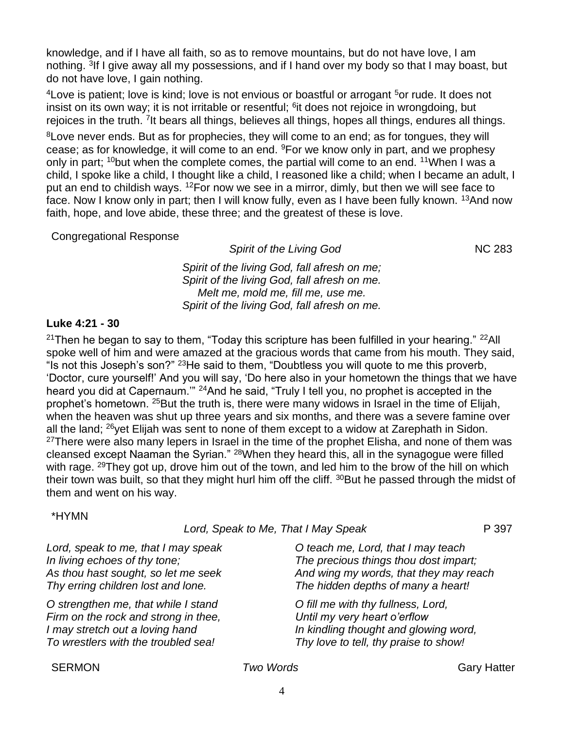knowledge, and if I have all faith, so as to remove mountains, but do not have love, I am nothing. <sup>3</sup>If I give away all my possessions, and if I hand over my body so that I may boast, but do not have love, I gain nothing.

<sup>4</sup> Love is patient; love is kind; love is not envious or boastful or arrogant <sup>5</sup> or rude. It does not insist on its own way; it is not irritable or resentful; <sup>6</sup>it does not rejoice in wrongdoing, but rejoices in the truth. <sup>7</sup>It bears all things, believes all things, hopes all things, endures all things.

<sup>8</sup> Love never ends. But as for prophecies, they will come to an end; as for tongues, they will cease; as for knowledge, it will come to an end. <sup>9</sup>For we know only in part, and we prophesy only in part; <sup>10</sup>but when the complete comes, the partial will come to an end. <sup>11</sup>When I was a child, I spoke like a child, I thought like a child, I reasoned like a child; when I became an adult, I put an end to childish ways. <sup>12</sup>For now we see in a mirror, dimly, but then we will see face to face. Now I know only in part; then I will know fully, even as I have been fully known. <sup>13</sup>And now faith, hope, and love abide, these three; and the greatest of these is love.

#### Congregational Response

**Spirit of the Living God** NC 283

*Spirit of the living God, fall afresh on me; Spirit of the living God, fall afresh on me. Melt me, mold me, fill me, use me. Spirit of the living God, fall afresh on me.*

# **Luke 4:21 - 30**

<sup>21</sup>Then he began to say to them, "Today this scripture has been fulfilled in your hearing."  $^{22}$ All spoke well of him and were amazed at the gracious words that came from his mouth. They said, "Is not this Joseph's son?" <sup>23</sup>He said to them, "Doubtless you will quote to me this proverb, 'Doctor, cure yourself!' And you will say, 'Do here also in your hometown the things that we have heard you did at Capernaum." <sup>24</sup>And he said, "Truly I tell you, no prophet is accepted in the prophet's hometown. <sup>25</sup>But the truth is, there were many widows in Israel in the time of Elijah, when the heaven was shut up three years and six months, and there was a severe famine over all the land;  $^{26}$ yet Elijah was sent to none of them except to a widow at Zarephath in Sidon.  $27$ There were also many lepers in Israel in the time of the prophet Elisha, and none of them was cleansed except Naaman the Syrian." <sup>28</sup>When they heard this, all in the synagogue were filled with rage. <sup>29</sup>They got up, drove him out of the town, and led him to the brow of the hill on which their town was built, so that they might hurl him off the cliff. <sup>30</sup>But he passed through the midst of them and went on his way.

#### \*HYMN

| Lord, Speak to Me, That I May Speak | P 397 |
|-------------------------------------|-------|
|-------------------------------------|-------|

*Lord, speak to me, that I may speak In living echoes of thy tone; As thou hast sought, so let me seek Thy erring children lost and lone.*

*O strengthen me, that while I stand Firm on the rock and strong in thee, I may stretch out a loving hand To wrestlers with the troubled sea!*

*O teach me, Lord, that I may teach The precious things thou dost impart; And wing my words, that they may reach The hidden depths of many a heart!*

*O fill me with thy fullness, Lord, Until my very heart o'erflow In kindling thought and glowing word, Thy love to tell, thy praise to show!*

**SERMON** *Two Words* **Gary Hatter**